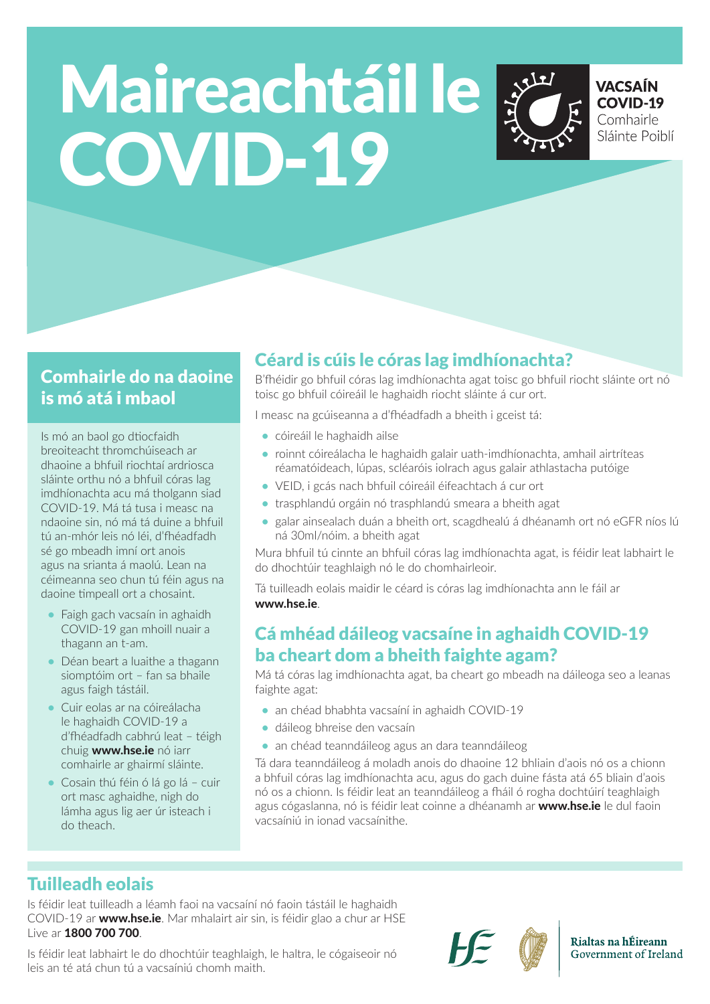# Maireachtáil le COVID-19



**VACSAÍN COVID-19** Comhairle Sláinte Poiblí

## Comhairle do na daoine is mó atá i mbaol

Is mó an baol go dtiocfaidh breoiteacht thromchúiseach ar dhaoine a bhfuil riochtaí ardriosca sláinte orthu nó a bhfuil córas lag imdhíonachta acu má tholgann siad COVID-19. Má tá tusa i measc na ndaoine sin, nó má tá duine a bhfuil tú an-mhór leis nó léi, d'fhéadfadh sé go mbeadh imní ort anois agus na srianta á maolú. Lean na céimeanna seo chun tú féin agus na daoine timpeall ort a chosaint.

- **•** Faigh gach vacsaín in aghaidh COVID-19 gan mhoill nuair a thagann an t-am.
- **•** Déan beart a luaithe a thagann siomptóim ort – fan sa bhaile agus faigh tástáil.
- **•** Cuir eolas ar na cóireálacha le haghaidh COVID-19 a d'fhéadfadh cabhrú leat – téigh chuig www.hse.ie nó iarr comhairle ar ghairmí sláinte.
- **•** Cosain thú féin ó lá go lá cuir ort masc aghaidhe, nigh do lámha agus lig aer úr isteach i do theach.

## Céard is cúis le córas lag imdhíonachta?

B'fhéidir go bhfuil córas lag imdhíonachta agat toisc go bhfuil riocht sláinte ort nó toisc go bhfuil cóireáil le haghaidh riocht sláinte á cur ort.

I measc na gcúiseanna a d'fhéadfadh a bheith i gceist tá:

- **•** cóireáil le haghaidh ailse
- **•** roinnt cóireálacha le haghaidh galair uath-imdhíonachta, amhail airtríteas réamatóideach, lúpas, scléaróis iolrach agus galair athlastacha putóige
- **•** VEID, i gcás nach bhfuil cóireáil éifeachtach á cur ort
- **•** trasphlandú orgáin nó trasphlandú smeara a bheith agat
- **•** galar ainsealach duán a bheith ort, scagdhealú á dhéanamh ort nó eGFR níos lú ná 30ml/nóim. a bheith agat

Mura bhfuil tú cinnte an bhfuil córas lag imdhíonachta agat, is féidir leat labhairt le do dhochtúir teaghlaigh nó le do chomhairleoir.

Tá tuilleadh eolais maidir le céard is córas lag imdhíonachta ann le fáil ar www.hse.ie.

#### Cá mhéad dáileog vacsaíne in aghaidh COVID-19 ba cheart dom a bheith faighte agam?

Má tá córas lag imdhíonachta agat, ba cheart go mbeadh na dáileoga seo a leanas faighte agat:

- **•** an chéad bhabhta vacsaíní in aghaidh COVID-19
- **•** dáileog bhreise den vacsaín
- **•** an chéad teanndáileog agus an dara teanndáileog

Tá dara teanndáileog á moladh anois do dhaoine 12 bhliain d'aois nó os a chionn a bhfuil córas lag imdhíonachta acu, agus do gach duine fásta atá 65 bliain d'aois nó os a chionn. Is féidir leat an teanndáileog a fháil ó rogha dochtúirí teaghlaigh agus cógaslanna, nó is féidir leat coinne a dhéanamh ar www.hse.ie le dul faoin vacsaíniú in ionad vacsaínithe.

# Tuilleadh eolais

Is féidir leat tuilleadh a léamh faoi na vacsaíní nó faoin tástáil le haghaidh COVID-19 ar www.hse.ie. Mar mhalairt air sin, is féidir glao a chur ar HSE Live ar 1800 700 700.

Is féidir leat labhairt le do dhochtúir teaghlaigh, le haltra, le cógaiseoir nó leis an té atá chun tú a vacsaíniú chomh maith.





Rialtas na hÉireann Government of Ireland